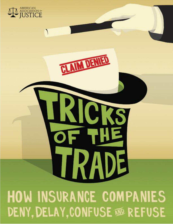# **HOW INSURANCE COMPANIES** DENY, DELAY, CONFUSE  $\mathfrak{w}$  refuse

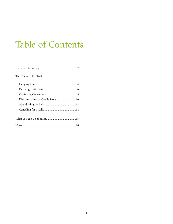# Table of Contents

| The Tricks of the Trade:          |
|-----------------------------------|
|                                   |
|                                   |
|                                   |
| Discriminating by Credit Score 10 |
|                                   |
|                                   |
|                                   |
|                                   |
|                                   |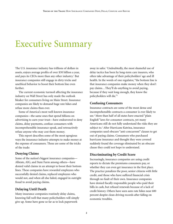### Executive Summary

The U.S. insurance industry has trillions of dollars in assets, enjoys average profits of over \$30 billion a year, and pays its CEOs more than any other industry. <sup>1</sup> But insurance companies still engage in dirty tricks and unethical behavior to boost their bottom line even further.

The current economic turmoil affecting the insurance industry on Wall Street has only made the outlook bleaker for consumers living on Main Street. Insurance companies are likely to demand huge rate hikes and refuse more claims than ever.

Some of America's most well-known insurance companies—the same ones that spend billions on advertising to earn your trust—have endeavored to deny claims, delay payments, confuse consumers with incomprehensible insurance-speak, and retroactively refuse anyone who may cost them money.

This report describes some of the most egregious ways the insurance industry attempts to make money at the expense of consumers. These are some of the tricks of the trade:

#### **Denying Claims**

Some of the nation's biggest insurance companies— Allstate, AIG, and State Farm among others—have denied valid claims in an attempt to boost their bottom lines. These companies have rewarded employees who successfully denied claims, replaced employees who would not, and when all else failed, engaged in outright fraud to avoid paying claims.

#### **Delaying Until Death**

Many insurance companies routinely delay claims, knowing full well that many policyholders will simply give up. Some have gone so far as to lock paperwork

away in safes. <sup>2</sup> Undoubtedly, the most shameful use of delay tactics has been by long-term care insurers, who often take advantage of their policyholders' age and ill health. In the words of one regulator, "the bottom line is that insurance companies make money when they don't pay claims…They'll do anything to avoid paying, because if they wait long enough, they know the policyholders will die."3

#### **Confusing Consumers**

Insurance contracts are some of the most dense and incomprehensible contracts a consumer is ever likely to see. <sup>4</sup> More than half of all states have enacted "plain English" laws for consumer contracts, yet many Americans still do not fully understand the risks they are subject to. <sup>5</sup> After Hurricane Katrina, insurance companies used obscure "anti-concurrent" clauses to get out of paying claims. Consumers who purchased hurricane insurance and thought they were covered suddenly found the coverage eliminated by an obscure clause they could not hope to understand.

#### **Discriminating by Credit Score**

Increasingly, insurance companies are using credit reports to dictate the premiums consumers pay, or whether they can even get insurance in the first place. The practice penalizes the poor, senior citizens with little credit, and those who have suffered financial crisis through no fault of their own. Insurance companies have denied fiscally responsible people who paid their bills in cash, but refused renewals because of a lack of credit history. Others have seen auto rate hikes near 600 percent despite clean driving records after falling on economic troubles.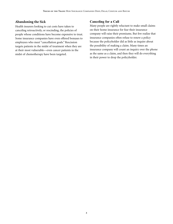#### **Abandoning the Sick**

Health insurers looking to cut costs have taken to canceling retroactively, or rescinding, the policies of people whose conditions have become expensive to treat. Some insurance companies have even offered bonuses to employees who meet "cancellation goals." Rescission targets patients in the midst of treatment when they are at their most vulnerable—even cancer patients in the midst of chemotherapy have been targeted.

#### **Canceling for a Call**

Many people are rightly reluctant to make small claims on their home insurance for fear their insurance company will raise their premiums. But few realize that insurance companies often refuse to renew a policy because the policyholder did as little as inquire about the possibility of making a claim. Many times an insurance company will count an inquiry over the phone as the same as a claim, and then they will do everything in their power to drop the policyholder.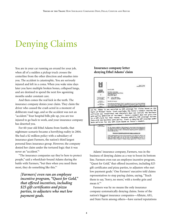# Denying Claims

You are in your car running an errand for your job, when all of a sudden a pickup truck crosses the centerline from the other direction and smashes into you. The accident is catastrophic. You are seriously injured and left in a coma. When you wake nine days later you have multiple broken bones, collapsed lungs, and are destined to spend the next few agonizing months under constant care.

And then comes the real kick in the teeth. The insurance company denies your claim. They claim the driver who caused the crash acted in a moment of deliberate road rage, and so the accident was not an "accident." Your hospital bills pile up, you are too injured to go back to work, and your insurance company has deserted you.

For 60-year-old Ethel Adams from Seattle, that nightmare scenario became a horrifying reality in 2004. She had a \$2 million policy with a subsidiary of insurance giant Farmers, the nation's third largest personal lines insurance group. However, the company denied her claim under the tortured logic that it was never an "accident."6

"The insurance companies say they're here to protect people," said a wheelchair-bound Adams during the battle with Farmers, "but then when you need them most, they do something like this."7

*[Farmers] even ran an employee incentive program, "Quest for Gold," that offered incentives, including \$25 gift certificates and pizza parties, to adjusters who met low payment goals.*

#### **Insurance company letter denying Ethel Adams' claim**



Adams' insurance company, Farmers, was in the business of denying claims as a way to boost its bottom line. Farmers even ran an employee incentive program, "Quest for Gold," that offered incentives, including \$25 gift certificates and pizza parties, to adjusters who met low payment goals. <sup>8</sup> One Farmers' executive told claims representatives to stop paying claims, saying, "Teach them to say, 'Sorry, no more,' with a toothy grin and mean it."9

Farmers was by no means the only insurance company systematically denying claims. Some of the nation's biggest insurance companies—Allstate, AIG, and State Farm among others—have earned reputations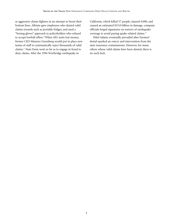as aggressive claims fighters in an attempt to boost their bottom lines. Allstate gave employees who denied valid claims rewards such as portable fridges, and used a "boxing gloves" approach to policyholders who refused to accept lowball offers.<sup>10</sup>When AIG units lost money, former CEO Maurice Greenberg would put in place new teams of staff to systematically reject thousands of valid claims. <sup>11</sup> State Farm went so far as to engage in fraud to deny claims. After the 1994 Northridge earthquake in

California, which killed 57 people, injured 9,000, and caused an estimated \$33.8 billion in damage, company officials forged signatures on waivers of earthquake coverage to avoid paying quake-related claims. 12

Ethel Adams eventually prevailed after Farmers' denial sparked an outcry and intervention from the state insurance commissioner. However, for many others whose valid claims have been denied, there is no such luck.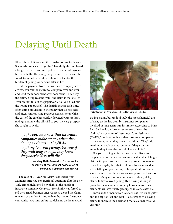# Delaying Until Death

Ill health has left your mother unable to care for herself. She needs home care to get by. Thankfully she purchased a long-term care insurance policy over a decade ago and has been faithfully paying the premiums ever since. She was determined her children should not suffer the burden of paying for her care later in life.

But the payment from the insurance company never arrives. You call the insurance company over and over and send them document after document. They deny the claim, citing reasons from "the claim is too late," to "you did not fill out the paperwork," to "you filled out the wrong paperwork." The denials change each time, often citing provisions in the policy that do not exist, and often contradicting previous denials. Meanwhile, the cost of the care has quickly depleted your mother's savings, and now the bills fall to you, the very prospect she sought to avoid.

*"[T]he bottom line is that insurance companies make money when they don't pay claims…They'll do anything to avoid paying, because if they wait long enough, they know the policyholders will die."*

#### — Mary Beth Senkewicz, former senior executive at the National Association of Insurance Commissioners (NAIC)

The case of 77-year-old Mary Rose Derks from Montana attracted congressional attention after the New York Times highlighted her plight at the hands of insurance company Conseco. <sup>13</sup> Her family was forced to sell their small business after Conseco denied the claim one way or another for more than four years. Insurance companies have long embraced delaying tactics to avoid



Photo Courtesy of: Anne Sherwood/The New York Times/Redux

paying claims, but undoubtedly the most shameful use of delay tactics has been by insurance companies involved in long-term care insurance. According to Mary Beth Senkewicz, a former senior executive at the National Association of Insurance Commissioners (NAIC), "the bottom line is that insurance companies make money when they don't pay claims…They'll do anything to avoid paying, because if they wait long enough, they know the policyholders will die."<sup>14</sup>

For you, making an insurance claim is likely to happen at a time when you are most vulnerable. Filing a claim with your insurance company usually follows an upset to everyday life, that could involve a car accident, a tree falling on your house, or hospitalization from a serious illness. For the insurance company it is business as usual. Many insurance companies routinely delay claims to try to avoid paying. By delaying as long as possible, the insurance company knows many of its claimants will eventually give up, or in some cases die.

Internal documents from Allstate featured an alligator and the caption "sit and wait"—a reference to delaying claims to increase the likelihood that a claimant would give up. 15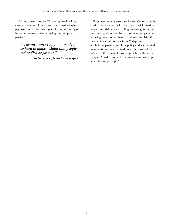Claims supervisors at AIG have reported locking checks in safes until claimants complained, delaying payments until they were a year old, and disposing of important correspondence during routine "pizza parties."16

*"[The insurance company] made it so hard to make a claim that people either died or gave up."*

— Betty Hobel, former Conseco agent

Employees at long-term care insurer Conseco and its subsidiaries have testified to a variety of tricks used to deny claims: deliberately mailing the wrong forms and then denying claims on the basis of incorrect paperwork; declaring policyholders have abandoned the claim if they fail to submit forms within 21 days; and withholding payment until the policyholder submitted documents not even required under the terms of the policy. <sup>17</sup> In the words of former agent Betty Hobel, the company "made it so hard to make a claim that people either died or gave up."18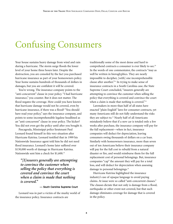### Confusing Consumers

Your house sustains heavy damage from wind and rain during a hurricane. The storm surge floods the lower level of your home three hours later. Despite the destruction, you are consoled by the fact you purchased hurricane insurance as part of your homeowners policy. Your home sustains hundreds of thousands of dollars in damages, but you are confident it will be covered.

You're wrong. The insurance company points to the "anti-concurrent" clause in your policy. "I had hurricane insurance," you counter. But it does not matter. The flood negates the coverage. How could you have known that hurricane damage would not be covered, even by hurricane insurance, if there was a flood? "You should have read your policy," says the insurance company, and points to some incomprehensible legalese headlined as an "anti-concurrent" clause in your policy. The kicker? You did not even get the policy until after you bought it.

Pascagoula, Mississippi police lieutenant Paul Leonard found himself in this very situation after Hurricane Katrina. Leonard testified that in 1999 his Nationwide Insurance agent told him he did not need flood insurance. Leonard's home later suffered over \$130,000 worth of damage in Hurricane Katrina. Nationwide sent him a check for \$1,600. 19

*"[I]nsurers generally are attempting to convince the customer when selling the policy that everything is covered and convince the court when a claim is made that nothing is covered."*

#### — South Carolina Supreme Court

Leonard was in part a victim of the murky world of the insurance policy. Insurance contracts are

traditionally some of the most dense and hard to comprehend contracts a consumer is ever likely to see. 20 In the words of one commentator, the contracts "may as well be written in hieroglyphics. They are nearly impossible to decipher, [with] one incomprehensible clause after another."21 In trying to make sense of insurance contracts in a South Carolina case, the State Supreme Court concluded, "insurers generally are attempting to convince the customer when selling the policy that everything is covered and convince the court when a claim is made that nothing is covered."<sup>22</sup>

Lawmakers in more than half of all states have enacted "plain English" laws for consumer contracts, yet many Americans still do not fully understand the risks they are subject to. <sup>23</sup> Nearly half of all Americans mistakenly believe that if a new car is totaled only a few weeks after purchase, the insurance company will pay for the full replacement—when in fact, insurance companies will deduct for depreciation, leaving consumers owing thousands of dollars on a car loan. Similarly with homeowners insurance, more than seven out of ten Americans believe their insurance company will pay for the full cost to rebuild from a natural disaster or fire, and would reimburse them for the full replacement cost of personal belongings. But, insurance companies "cap" the amount they will pay for a total loss, and will deduct for depreciation when assessing damage to personal belongings. 24

Hurricane Katrina highlighted the insurance industry's use of opaque language to avoid paying claims. At issue were so called "anti-concurrent clauses." The clauses dictate that not only is damage from a flood, earthquake or other event not covered, but that such damage eliminates coverage for damage that is covered in the policy.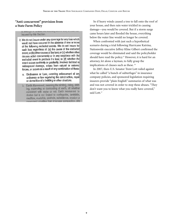#### **"Anti-concurrent" provision from a State Farm Policy**

3. INDUCT: (I), to itself in theoring assets note a cost in-Insured by this Section.

- 2. We do not insure under any coverage for any loss which would not have occurred in the absence of one or more of the following excluded events. We do not insure for such loss regardless of: (a) the cause of the excluded event; or (b) other causes of the loss; or (c) whether other causes acted concurrently or in any sequence with the excluded event to produce the loss; or (d) whether the event occurs suddenly or gradually, involves isolated or widespread damage, arises from natural or external forces, or occurs as a result of any combination of these.
	- a. Ordinance or Law, meaning enforcement of any ordinance or law regulating the construction, repair or demolition of a building or offier structure.
	- b. Earth Movement, meaning the sinking, rising, shifting, expanding or contracting of earth, all whether combined with water or not. Earth movement includes but is not limited to corthquake, landstide, mudtlow, mudslide, sinkhole, subsidence, erosion or movement resulting from improper compaction, site

So if heavy winds caused a tree to fall onto the roof of your house, and then rain water trickled in causing damage—you would be covered. But if a storm surge came hours later and flooded the house, everything below the water line would no longer be covered.

When confronted with just such a hypothetical scenario during a trial following Hurricane Katrina, Nationwide executive Jeffrey Kline Gilbert confirmed the coverage would be eliminated and said the policyholder should have read the policy. <sup>25</sup> However, it is hard for an attorney, let alone a layman, to fully grasp the implications of clauses such as these.<sup>26</sup>

In 2007, then-U.S. Senator Trent Lott railed against what he called "a bunch of subterfuges" in insurance company policies, and sponsored legislation requiring insurers provide "plain English" summaries of what was and was not covered in order to stop these abuses. "They don't want you to know what you really have covered," said Lott. 27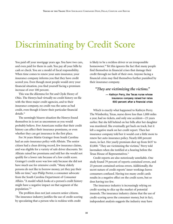## Discriminating by Credit Score

You paid off your mortgage years ago. You have two cars, and even paid for them in cash. You pay all your bills by cash or check. You are a model of fiscal responsibility. When time comes to renew your auto insurance, your insurance company informs you that they have credit scored you. Even though most people would envy your financial situation, you find yourself facing a premium increase of over 100 percent.

This was the dilemma for Pat and Clyde Henry of Ohio. The Henrys had virtually no credit history on file with the three major credit agencies, and to their insurance company, no credit was the same as bad credit, even though it knew their particular financial details. 28

The seemingly bizarre situation the Henrys found themselves in is not as uncommon as you would probably believe. Few Americans realize that their credit history can affect their insurance premiums, or even whether they can get insurance in the first place.

For 34 years Mattie Grainger from South Carolina had an auto insurance policy with Allstate. The senior citizen had a clean driving record, few insurance claims, and was eligible for a variety of safe driver discounts. Yet Allstate raised her premiums and told her she would not qualify for a lower rate because of a low credit score. Grainger's credit score was low only because she did not have much use for extensive credit. "Many elderly persons do not like to borrow money, yet they pay their bills on time," says Philip Porter, a consumer advocate from the South Carolina Department of Consumer Affairs. "A model which looks at a person's credit history might have a negative impact on that segment of the population."29

The problem does not just concern senior citizens. The insurance industry justifies the use of credit-scoring by speculating that a person who is reckless with credit

is likely to be a reckless driver or an irresponsible homeowner. <sup>30</sup> Yet this ignores the fact that many people find themselves in financial crises that damage their credit through no fault of their own. Anyone facing a financial crisis may find themselves further punished by their insurance company.

#### *"They are victimizing the victims."*

#### — Kathryn Perry, the Texas nurse whose insurance company raised her rates 600 percent after a financial crisis

Which is exactly what happened to Kathryn Perry. The Wimberley, Texas, nurse drove less than 1,000 miles a year, had no tickets, and only one accident—25 years earlier. But she fell behind on her bills after her daughter was murdered. She eventually got back on track, but it left a negative mark on her credit report. Then her insurance company told her it would cost a little more to renew her auto insurance policy. Nearly 600 percent more, in fact. Her yearly premium shot up from \$437 to \$3,000. "They are victimizing the victims," Perry told lawmakers when she testified at a hearing before the Texas House of Representatives.<sup>31</sup>

Credit reports are also notoriously unreliable. One study found 79 percent of reports contained errors, and 25 percent contained serious errors. Additionally, the secret nature of credit reports' inner workings leaves consumers confused. Having too many credit cards results in a negative effect on the credit score, but so does having too few.

The insurance industry is increasingly relying on credit-scoring to slice up the market of potential insureds. The insurance industry claims that the use of credit-scoring saves the consumer money, but in fact, independent analysis suggests the industry may have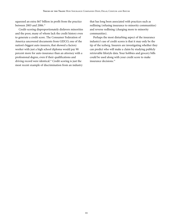squeezed an extra \$67 billion in profit from the practice between 2003 and 2006. 32

Credit-scoring disproportionately disfavors minorities and the poor, many of whom lack the credit history even to generate a credit score. The Consumer Federation of America uncovered documents from GEICO, one of the nation's biggest auto insurers, that showed a factory worker with just a high school diploma would pay 90 percent more for auto insurance than an attorney with a professional degree, even if their qualifications and driving record were identical. <sup>33</sup> Credit scoring is just the most recent example of discrimination from an industry

that has long been associated with practices such as redlining (refusing insurance to minority communities) and reverse redlining (charging more to minority communities).

Perhaps the most disturbing aspect of the insurance industry's use of credit scores is that it may only be the tip of the iceberg. Insurers are investigating whether they can predict who will make a claim by studying publicly retrievable lifestyle data. Your hobbies and grocery bills could be used along with your credit score to make insurance decisions. 34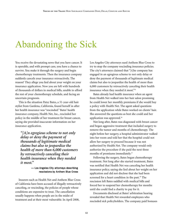# Abandoning the Sick

You receive the devastating news that you have cancer. It is operable, and with prompt care, you have a chance to survive. You make it through the surgery and begin chemotherapy treatments. Then the insurance company suddenly cancels your insurance retroactively. The reason? They allege you lied about your weight on your insurance application. Now you are left with hundreds of thousands of dollars in medical bills, unable to afford the rest of your chemotherapy schedule, and facing an uncertain prognosis.

This is the situation Patsy Bates, a 51-year-old hair stylist from Gardena, California, found herself in after her health insurance was "rescinded." Bates' health insurance company, Health Net, Inc., rescinded her policy in the middle of her treatment for breast cancer, saying she provided inaccurate information on her insurance application.

*"[A]n egregious scheme to not only delay or deny the payment of thousands of legitimate medical claims but also to jeopardize the health of more than 6,000 customers by retroactively canceling their health insurance when they needed it most."*

#### — Los Angeles City attorneys describing rescissions by Anthem Blue Cross

Insurers such as Health Net and Anthem Blue Cross of California have been accused of illegally retroactively canceling, or rescinding, the policies of people whose conditions are expensive to treat. The cancellation usually happens when people are in the midst of treatment and at their most vulnerable. In April 2008,

Los Angeles City attorneys sued Anthem Blue Cross to try to stop the company rescinding insurance policies. The city's attorneys claimed that "[t]he company has engaged in an egregious scheme to not only delay or deny the payment of thousands of legitimate medical claims but also to jeopardize the health of more than 6,000 customers by retroactively canceling their health insurance when they needed it most."35

Bates already had health insurance when an agent from Health Net walked into her hair salon promising he could lower her monthly premiums if she would buy a policy with Health Net. The agent asked questions from the application while Bates worked on clients' hair. She answered the questions as best she could and her application was approved. 36

Not long after, Bates was diagnosed with breast cancer and began aggressive treatment that included surgery to remove the tumor and months of chemotherapy. The night before her surgery, a hospital administrator walked into her room and told her that the hospital could not allow her surgery to proceed because it was not authorized by Health Net. The company would only authorize the procedure if she paid the next three months of premiums immediately. 37

Following the surgery, Bates began chemotherapy treatment. Not long after she started treatment, Bates was notified that Health Net was canceling her health insurance policy, saying she lied about her weight on her application and did not disclose that she had been screened for a heart condition in the past. <sup>38</sup> The rescission left Bates saddled with medical bills and forced her to suspend her chemotherapy for months until she could find a charity to pay for it.

Documents disclosed at Bates' arbitration hearing revealed that Health Net rewarded employees who rescinded sick policyholders. The company paid bonuses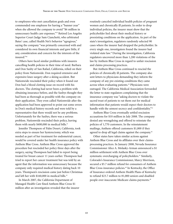to employees who met cancellation goals and even commended one employee for having a "banner year" when she allowed the company to avoid "\$6 million in unnecessary health care expenses."39 Retired Los Angeles Superior Court Judge Sam Cianchetti, who arbitrated Bates' case, called Health Net's behavior "egregious," saying the company "was primarily concerned with and considered its own financial interests and gave little, if any, consideration and concern for the interests of the insured."40

Others have faced similar problems with insurers cancelling health policies in their time of need. Barbara and Don Saxby of San Rafael, California, relied on their policy from Nationwide. Don required extensive and expensive knee surgery after a skiing accident. But Nationwide rescinded their policy when it found out Don had a blood clotting issue on record with his doctors. The clotting had never been a problem with obtaining insurance before, and the Saxbys thought they had been as thorough as possible with the company on their application. They even called Nationwide after the application had been approved to point out some errors in Don's medical history records and were told by a representative that there would not be any problems. Unfortunately for the Saxbys, there was a serious problem. Nationwide rescinded their policy, leaving them with nearly \$400,000 in medical bills.<sup>41</sup>

Jennifer Thompson of Palm Desert, California, took extra steps to ensure her hysterectomy, which was needed as part of her treatment for endometrial cancer, would be covered under her health insurance policy with Anthem Blue Cross. Anthem Blue Cross approved the procedure but rescinded her policy three days after the surgery, saying Thompson had failed to report being treated for breast cancer 11 years earlier. Thompson had tried to report her cancer treatment but was told by an agent that the information was unnecessary because the company only required medical history dating back 10 years. Thompson's rescission came just before Christmas and left her with \$160,000 in medical bills. 42

In March 2007, the California Department of Managed Health Care fined Anthem Blue Cross \$1 million after an investigation revealed that the insurer

routinely canceled individual health policies of pregnant women and chronically ill patients. In order to drop individual policies, the insurer must show that the policyholder lied about their medical history or preexisting conditions on the application. As part of the state's investigation, regulators randomly selected 90 cases where the insurer had dropped the policyholder. In every single one, investigators found the insurer had violated state law. 43During the investigation, California regulators uncovered more than 1,200 violations of the law by Anthem Blue Cross in regard to unfair rescission and claims processing practices.

But Anthem Blue Cross continued to rescind the policies of chronically ill patients. The company also sent letters to physicians demanding they inform the company of any pre-existing conditions they came across when evaluating patients. <sup>44</sup> Physicians were outraged. The California Medical Association forwarded the letter to state regulators complaining that the insurance company was "asking doctors to violate the sacred trust of patients to rat them out for medical information that patients would expect their doctors to handle with the utmost secrecy and confidentiality."45

Anthem Blue Cross eventually settled rescission accusations for \$10 million in July 2008. The company denied any wrongdoing and offered to reinstate the policies of 1,770 customers. In the reinstatement mailings, Anthem offered customers \$1,000 if they agreed to drop all legal claims against the company. 46

Other states have taken similar actions against Anthem Blue Cross and its affiliates over their claimsprocessing practices. In January 2008, Nevada Insurance Commissioner Alice A. Molasky-Arman announced a \$1 million settlement with Anthem Blue Cross over systematic overcharging of policyholders. <sup>47</sup> Similarly, Colorado's Insurance Commissioner, Marcy Morrison, secured a \$5.7 million refund for consumers of Anthem Blue Cross insurance policies. <sup>48</sup> In Kentucky, the Office of Insurance ordered Anthem Health Plans of Kentucky to refund \$23.7 million to 81,000 seniors and disabled people over inaccurate Medicare claims payments. 49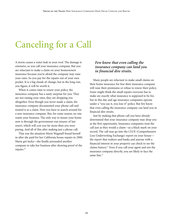# Canceling for a Call

A storm causes a water leak in your roof. The damage is extensive, so you call your insurance company. But you are reluctant to make a claim on your homeowners insurance because you're afraid the company may raise your rates. So you pay for the repairs out of your own pocket. It is a big chunk of change, but in the long run, you figure, it will be worth it.

When it comes time to renew your policy, the insurance company has a nasty surprise for you. They are not raising your rates, they are dropping you altogether. Even though you never made a claim, the insurance company documented your phone call and treated it as a claim. Now you have to search around for a new insurance company. But, for some reason, no one wants your business. The only way to insure your home now is through the government-run insurer of last resort, which will cost you far more than you were paying. And all of this after making just a phone call.

That was the situation Marie Wagstaff found herself in after she paid for her California house repairs in 2000. Marie got lucky—she finally persuaded another company to take her business after showing proof of the repairs. 50

#### *Few know that even calling the insurance company can land you in financial dire straits.*

Many people are reluctant to make small claims on their home insurance for fear their insurance company will raise their premiums or refuse to renew their policy. Some might think the small repairs everyone has to make are exactly what insurance is supposed to be for, but in this day and age insurance companies operate under a "you use it, you lose it" policy. But few know that even calling the insurance company can land you in financial dire straits.

Just by making that phone call you have already determined that your insurance company may drop you at the first opportunity. Insurance companies treat the call just as they would a claim—as a black mark on your record. The call may go into the CLUE (Comprehensive Loss Underwriting Exchange) report on your house the report that realtors and banks and anyone with a financial interest in your property can check to see the claims history. <sup>51</sup> Even if you call your agent and not the insurance company directly, you are likely to face the same fate. 52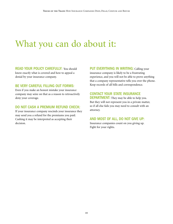### What you can do about it:

READ YOUR POLICY CAREFULLY: You should know exactly what is covered and how to appeal a denial by your insurance company.

#### BE VERY CAREFUL FILLING OUT FORMS:

Even if you make an honest mistake your insurance company may seize on that as a reason to retroactively deny your coverage.

#### DO NOT CASH A PREMIUM REFUND CHECK:

If your insurance company rescinds your insurance they may send you a refund for the premiums you paid. Cashing it may be interpreted as accepting their decision.

PUT EVERYTHING IN WRITING: Calling your insurance company is likely to be a frustrating experience, and you will not be able to prove anything that a company representative tells you over the phone. Keep records of all bills and correspondence.

#### CONTACT YOUR STATE INSURANCE

**DEPARTMENT:** They may be able to help you. But they will not represent you in a private matter, so if all else fails you may need to consult with an attorney.

#### AND MOST OF ALL, DO NOT GIVE UP:

Insurance companies count on you giving up. Fight for your rights.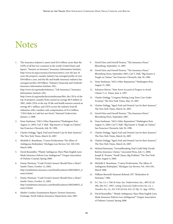### Notes

1. The insurance industry's assets total \$3.8 trillion, more than the GDPs of all but two countries in the world (United States and Japan), "Insurers as Investors," Insurance Information Institute, http://www.iii.org/economics/investors/intro/; over the last 10 years the property casualty industry has averaged profits of over \$30 billion a year, and the life and health insurance industry has averaged another \$30 billion, "Industry Financials and Outlook," Insurance Information Institute (III),

http://www.iii.org/media/industry/, "Life Insurance," Insurance Information Institute (III),

http://www.iii.org/media/facts/statsbyissue/life/; the CEOs of the top 10 property casualty firms earned an average \$8.9 million in 2007, while CEOs at the top 10 life and health insurers earned an average \$9.1 million, and CEOs across the industry lead all industries with a median cash compensation of \$1.6 million, "CEOs Rake in Cash but not Stock," National Underwriter, January 2, 2008.

- 2. Dean Starkman, "AIG's Other Reputation,"Washington Post, August 21, 2005; Carl T. Hall, "Big Insurer is Tough on Claims," San Francisco Chronicle, July 30, 1990.
- 3. Charles Duhigg, "Aged, Frail and Denied Care by their Insurers," The New York Times, March 26, 2007.
- 4. Michelle E. Boardman, "Contra Proferentem: The Allure of Ambiguous Boilerplate," Michigan Law Review, Vol. 104:1105, March 2006.
- 5. David Rossmiller, "Plainly Ambiguous: Have Plain English Laws Made Insurance Policies Less Ambiguous?" Oregon Association of Defense Counsel, Spring 2008.
- 6. Danny Westneat, "Crash Victim's Insurer Should Have a Heart," Seattle Times, October 12, 2005, http://seattletimes.nwsource.com/html/localnews/2002560033\_d anny14.html.
- 7. Danny Westneat, "Crash Victim's Insurer Should Have a Heart," Seattle Times, October 12, 2005, http://seattletimes.nwsource.com/html/localnews/2002560033\_d anny14.html.
- 8. Market Conduct Examination Report: Farmers Insurance Exchange, North Dakota Insurance Department, June 2007.
- 9. David Dietz and Darrell Preston, "The Insurance Hoax," Bloomberg, September 12, 2007.
- 10. David Dietz and Darrell Preston, "The Insurance Hoax," Bloomberg News, September 2007; Carl T. Hall, "Big Insurer is Tough on Claims," San Francisco Chronicle, July 30, 1990.
- 11. Dean Starkman, "AIG's Other Reputation," Washington Post, August 21, 2005.
- 12. Solomon Moore, "State Farm Accused of Forgery to Avoid Claims," L.A. Times, June 4, 1997.
- 13. Charles Duhigg, "Congress Putting Long-Term Care Under Scrutiny," The New York Times, May 25, 2007.
- 14. Charles Duhigg, "Aged, Frail and Denied Care by their Insurers," The New York Times, March 26, 2007.
- 15. David Dietz and Darrell Preston, "The Insurance Hoax," Bloomberg News, September 2007.
- 16. Dean Starkman, "AIG's Other Reputation," Washington Post, August 21, 2005; Carl T. Hall, "Big Insurer is Tough on Claims," San Francisco Chronicle, July 30, 1990.
- 17. Charles Duhigg, "Aged, Frail and Denied Care by their Insurers," The New York Times, March 26, 2007.
- 18. Charles Duhigg, "Aged, Frail and Denied Care by their Insurers," The New York Times, March 26, 2007.
- 19. Michael Kunzman, "Groundbreaking Trial Could Help Decide Katrina Insurance Claims," Associated Press, July 11, 2006; Joseph B. Treaster, "Small Clause, Big Problem," The New York Times, August 4, 2006.
- 20. Michelle E. Boardman, "Contra Proferentem: The Allure of Ambiguous Boilerplate," Michigan Law Review, Vol. 104:1105, March 2006.
- 21. William Shernoff, Payment Refused, NY: "Richardson & Steirman," 1986.
- 22. S.C. Ins. Co. v. Fid. & Guar. Ins. Underwriters, Inc., 489 S.E.2d 200, 206 (S.C. 1997) (citing *Universal Underwriters Ins. Co. v. Travelers Ins. Co.*, 451 S.W.2d 616, 622–23 (Ky. Ct. App. 1970)).
- 23. David Rossmiller, " Plainly Ambiguous: Have Plain English Laws Made Insurance Policies Less Ambiguous?" Oregon Association of Defense Counsel, Spring 2008.